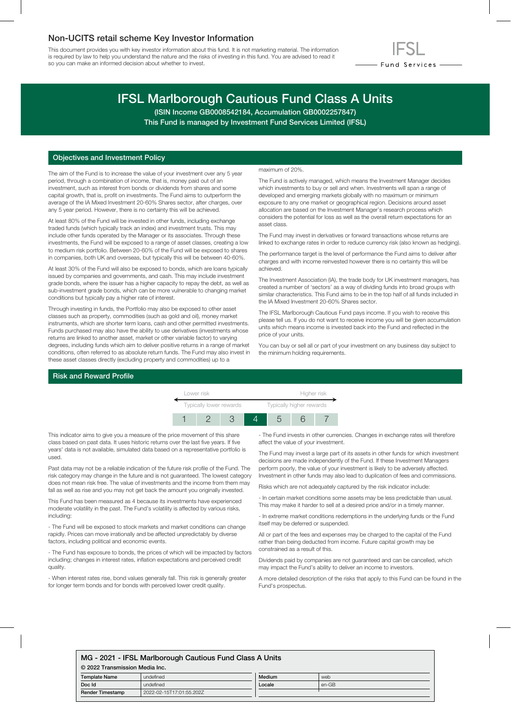## Non-UCITS retail scheme Key Investor Information

This document provides you with key investor information about this fund. It is not marketing material. The information is required by law to help you understand the nature and the risks of investing in this fund. You are advised to read it so you can make an informed decision about whether to invest.



# IFSL Marlborough Cautious Fund Class A Units

(ISIN Income GB0008542184, Accumulation GB0002257847) This Fund is managed by Investment Fund Services Limited (IFSL)

## Objectives and Investment Policy

The aim of the Fund is to increase the value of your investment over any 5 year period, through a combination of income, that is, money paid out of an investment, such as interest from bonds or dividends from shares and some capital growth, that is, profit on investments. The Fund aims to outperform the average of the IA Mixed Investment 20-60% Shares sector, after charges, over any 5 year period. However, there is no certainty this will be achieved.

At least 80% of the Fund will be invested in other funds, including exchange traded funds (which typically track an index) and investment trusts. This may include other funds operated by the Manager or its associates. Through these investments, the Fund will be exposed to a range of asset classes, creating a low to medium risk portfolio. Between 20-60% of the Fund will be exposed to shares in companies, both UK and overseas, but typically this will be between 40-60%.

At least 30% of the Fund will also be exposed to bonds, which are loans typically issued by companies and governments, and cash. This may include investment grade bonds, where the issuer has a higher capacity to repay the debt, as well as sub-investment grade bonds, which can be more vulnerable to changing market conditions but typically pay a higher rate of interest.

Through investing in funds, the Portfolio may also be exposed to other asset classes such as property, commodities (such as gold and oil), money market instruments, which are shorter term loans, cash and other permitted investments. Funds purchased may also have the ability to use derivatives (investments whose returns are linked to another asset, market or other variable factor) to varying degrees, including funds which aim to deliver positive returns in a range of market conditions, often referred to as absolute return funds. The Fund may also invest in these asset classes directly (excluding property and commodities) up to a

#### maximum of 20%.

The Fund is actively managed, which means the Investment Manager decides which investments to buy or sell and when. Investments will span a range of developed and emerging markets globally with no maximum or minimum exposure to any one market or geographical region. Decisions around asset allocation are based on the Investment Manager's research process which considers the potential for loss as well as the overall return expectations for an asset class.

The Fund may invest in derivatives or forward transactions whose returns are linked to exchange rates in order to reduce currency risk (also known as hedging).

The performance target is the level of performance the Fund aims to deliver after charges and with income reinvested however there is no certainty this will be achieved.

The Investment Association (IA), the trade body for UK investment managers, has created a number of 'sectors' as a way of dividing funds into broad groups with similar characteristics. This Fund aims to be in the top half of all funds included in the IA Mixed Investment 20-60% Shares sector.

The IFSL Marlborough Cautious Fund pays income. If you wish to receive this please tell us. If you do not want to receive income you will be given accumulation units which means income is invested back into the Fund and reflected in the price of your units.

You can buy or sell all or part of your investment on any business day subject to the minimum holding requirements.

#### Risk and Reward Profile



This indicator aims to give you a measure of the price movement of this share class based on past data. It uses historic returns over the last five years. If five years' data is not available, simulated data based on a representative portfolio is used.

Past data may not be a reliable indication of the future risk profile of the Fund. The risk category may change in the future and is not guaranteed. The lowest category does not mean risk free. The value of investments and the income from them may fall as well as rise and you may not get back the amount you originally invested.

This Fund has been measured as 4 because its investments have experienced moderate volatility in the past. The Fund's volatility is affected by various risks, including:

- The Fund will be exposed to stock markets and market conditions can change rapidly. Prices can move irrationally and be affected unpredictably by diverse factors, including political and economic events.

- The Fund has exposure to bonds, the prices of which will be impacted by factors including; changes in interest rates, inflation expectations and perceived credit quality.

- When interest rates rise, bond values generally fall. This risk is generally greater for longer term bonds and for bonds with perceived lower credit quality.

- The Fund invests in other currencies. Changes in exchange rates will therefore affect the value of your investment.

The Fund may invest a large part of its assets in other funds for which investment decisions are made independently of the Fund. If these Investment Managers perform poorly, the value of your investment is likely to be adversely affected. Investment in other funds may also lead to duplication of fees and commissions.

Risks which are not adequately captured by the risk indicator include:

- In certain market conditions some assets may be less predictable than usual. This may make it harder to sell at a desired price and/or in a timely manner.

- In extreme market conditions redemptions in the underlying funds or the Fund itself may be deferred or suspended.

All or part of the fees and expenses may be charged to the capital of the Fund rather than being deducted from income. Future capital growth may be constrained as a result of this.

Dividends paid by companies are not guaranteed and can be cancelled, which may impact the Fund's ability to deliver an income to investors.

A more detailed description of the risks that apply to this Fund can be found in the Fund's prospectus.